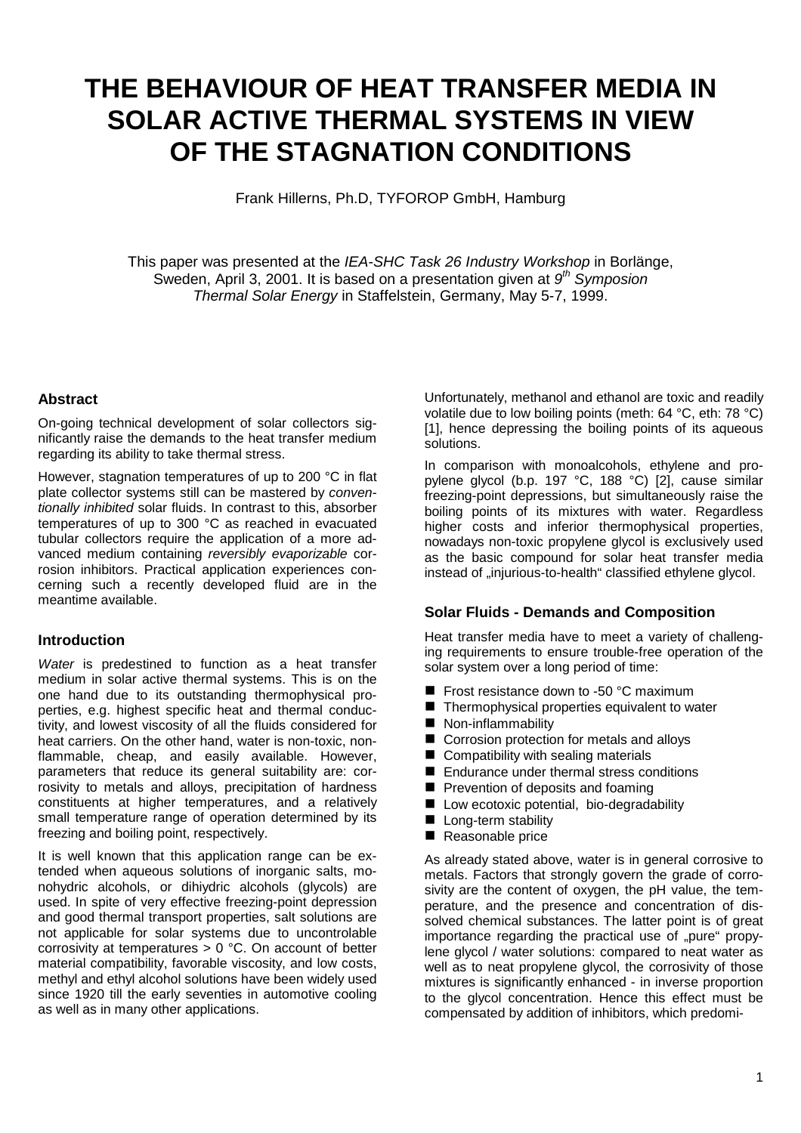# **THE BEHAVIOUR OF HEAT TRANSFER MEDIA IN SOLAR ACTIVE THERMAL SYSTEMS IN VIEW OF THE STAGNATION CONDITIONS**

Frank Hillerns, Ph.D, TYFOROP GmbH, Hamburg

This paper was presented at the *IEA-SHC Task 26 Industry Workshop* in Borlänge, Sweden, April 3, 2001. It is based on a presentation given at *9th Symposion Thermal Solar Energy* in Staffelstein, Germany, May 5-7, 1999.

### **Abstract**

On-going technical development of solar collectors significantly raise the demands to the heat transfer medium regarding its ability to take thermal stress.

However, stagnation temperatures of up to 200 °C in flat plate collector systems still can be mastered by *conventionally inhibited* solar fluids. In contrast to this, absorber temperatures of up to 300 °C as reached in evacuated tubular collectors require the application of a more advanced medium containing *reversibly evaporizable* corrosion inhibitors. Practical application experiences concerning such a recently developed fluid are in the meantime available.

## **Introduction**

*Water* is predestined to function as a heat transfer medium in solar active thermal systems. This is on the one hand due to its outstanding thermophysical properties, e.g. highest specific heat and thermal conductivity, and lowest viscosity of all the fluids considered for heat carriers. On the other hand, water is non-toxic, nonflammable, cheap, and easily available. However, parameters that reduce its general suitability are: corrosivity to metals and alloys, precipitation of hardness constituents at higher temperatures, and a relatively small temperature range of operation determined by its freezing and boiling point, respectively.

It is well known that this application range can be extended when aqueous solutions of inorganic salts, monohydric alcohols, or dihiydric alcohols (glycols) are used. In spite of very effective freezing-point depression and good thermal transport properties, salt solutions are not applicable for solar systems due to uncontrolable corrosivity at temperatures > 0 °C. On account of better material compatibility, favorable viscosity, and low costs, methyl and ethyl alcohol solutions have been widely used since 1920 till the early seventies in automotive cooling as well as in many other applications.

Unfortunately, methanol and ethanol are toxic and readily volatile due to low boiling points (meth: 64 °C, eth: 78 °C) [1], hence depressing the boiling points of its aqueous solutions.

In comparison with monoalcohols, ethylene and propylene glycol (b.p. 197 °C, 188 °C) [2], cause similar freezing-point depressions, but simultaneously raise the boiling points of its mixtures with water. Regardless higher costs and inferior thermophysical properties, nowadays non-toxic propylene glycol is exclusively used as the basic compound for solar heat transfer media instead of ..injurious-to-health classified ethylene glycol.

# **Solar Fluids - Demands and Composition**

Heat transfer media have to meet a variety of challenging requirements to ensure trouble-free operation of the solar system over a long period of time:

- Frost resistance down to -50 °C maximum
- Thermophysical properties equivalent to water
- **Non-inflammability**
- Corrosion protection for metals and alloys
- Compatibility with sealing materials
- Endurance under thermal stress conditions
- **Peroperation of deposits and foaming**
- **I** Low ecotoxic potential, bio-degradability
- **Long-term stability**
- Reasonable price

As already stated above, water is in general corrosive to metals. Factors that strongly govern the grade of corrosivity are the content of oxygen, the pH value, the temperature, and the presence and concentration of dissolved chemical substances. The latter point is of great importance regarding the practical use of ..pure" propylene glycol / water solutions: compared to neat water as well as to neat propylene glycol, the corrosivity of those mixtures is significantly enhanced - in inverse proportion to the glycol concentration. Hence this effect must be compensated by addition of inhibitors, which predomi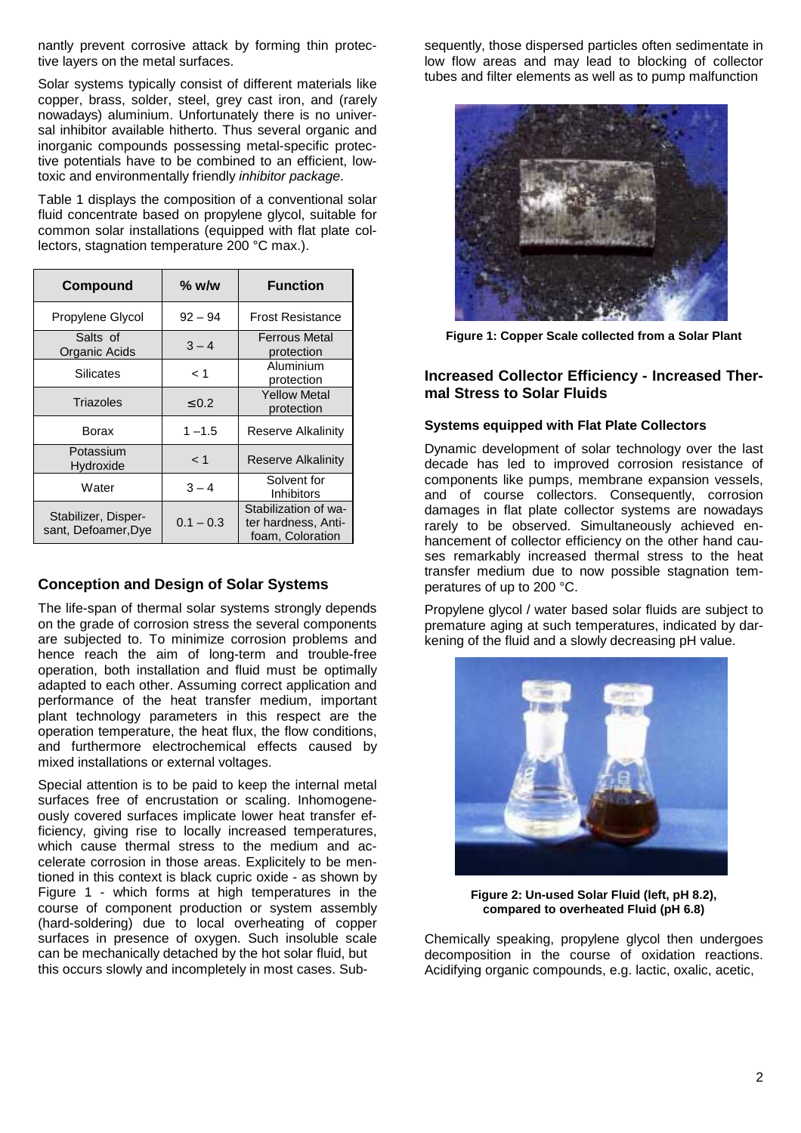nantly prevent corrosive attack by forming thin protective layers on the metal surfaces.

Solar systems typically consist of different materials like copper, brass, solder, steel, grey cast iron, and (rarely nowadays) aluminium. Unfortunately there is no universal inhibitor available hitherto. Thus several organic and inorganic compounds possessing metal-specific protective potentials have to be combined to an efficient, lowtoxic and environmentally friendly *inhibitor package*.

Table 1 displays the composition of a conventional solar fluid concentrate based on propylene glycol, suitable for common solar installations (equipped with flat plate collectors, stagnation temperature 200 °C max.).

| Compound                                   | $%$ w/w     | <b>Function</b>                                                 |
|--------------------------------------------|-------------|-----------------------------------------------------------------|
| Propylene Glycol                           | $92 - 94$   | <b>Frost Resistance</b>                                         |
| Salts of<br>Organic Acids                  | $3 - 4$     | <b>Ferrous Metal</b><br>protection                              |
| Silicates                                  | 1 >         | Aluminium<br>protection                                         |
| Triazoles                                  | $\leq 0.2$  | <b>Yellow Metal</b><br>protection                               |
| Borax                                      | $1 - 1.5$   | Reserve Alkalinity                                              |
| Potassium<br>Hydroxide                     | < 1         | <b>Reserve Alkalinity</b>                                       |
| Water                                      | $3 - 4$     | Solvent for<br>Inhibitors                                       |
| Stabilizer, Disper-<br>sant, Defoamer, Dye | $0.1 - 0.3$ | Stabilization of wa-<br>ter hardness, Anti-<br>foam, Coloration |

# **Conception and Design of Solar Systems**

The life-span of thermal solar systems strongly depends on the grade of corrosion stress the several components are subjected to. To minimize corrosion problems and hence reach the aim of long-term and trouble-free operation, both installation and fluid must be optimally adapted to each other. Assuming correct application and performance of the heat transfer medium, important plant technology parameters in this respect are the operation temperature, the heat flux, the flow conditions, and furthermore electrochemical effects caused by mixed installations or external voltages.

Special attention is to be paid to keep the internal metal surfaces free of encrustation or scaling. Inhomogeneously covered surfaces implicate lower heat transfer efficiency, giving rise to locally increased temperatures, which cause thermal stress to the medium and accelerate corrosion in those areas. Explicitely to be mentioned in this context is black cupric oxide - as shown by Figure 1 - which forms at high temperatures in the course of component production or system assembly (hard-soldering) due to local overheating of copper surfaces in presence of oxygen. Such insoluble scale can be mechanically detached by the hot solar fluid, but this occurs slowly and incompletely in most cases. Subsequently, those dispersed particles often sedimentate in low flow areas and may lead to blocking of collector tubes and filter elements as well as to pump malfunction



**Figure 1: Copper Scale collected from a Solar Plant**

# **Increased Collector Efficiency - Increased Thermal Stress to Solar Fluids**

# **Systems equipped with Flat Plate Collectors**

Dynamic development of solar technology over the last decade has led to improved corrosion resistance of components like pumps, membrane expansion vessels, and of course collectors. Consequently, corrosion damages in flat plate collector systems are nowadays rarely to be observed. Simultaneously achieved enhancement of collector efficiency on the other hand causes remarkably increased thermal stress to the heat transfer medium due to now possible stagnation temperatures of up to 200 °C.

Propylene glycol / water based solar fluids are subject to premature aging at such temperatures, indicated by darkening of the fluid and a slowly decreasing pH value.



**Figure 2: Un-used Solar Fluid (left, pH 8.2), compared to overheated Fluid (pH 6.8)**

Chemically speaking, propylene glycol then undergoes decomposition in the course of oxidation reactions. Acidifying organic compounds, e.g. lactic, oxalic, acetic,